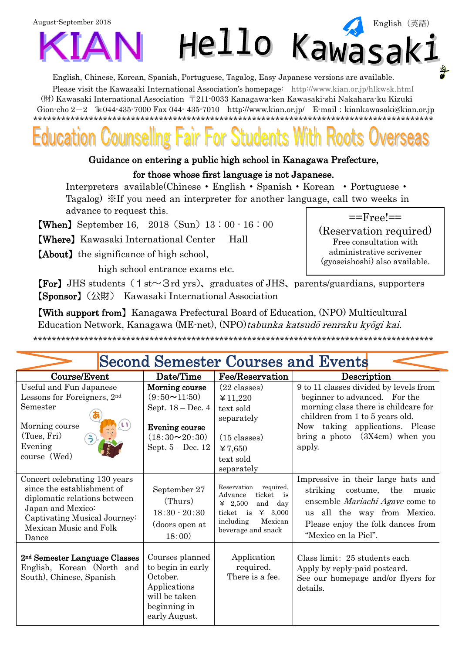English, Chinese, Korean, Spanish, Portuguese, Tagalog, Easy Japanese versions are available.

Please visit the Kawasaki International Association's homepage: http://www.kian.or.jp/hlkwsk.html (財) Kawasaki International Association 〒211-0033 Kanagawa-ken Kawasaki-shi Nakahara-ku Kizuki Gion-cho  $2-2$  TEO44-435-7000 Fax 044-435-7010 http://www.kian.or.jp/ E-mail: kiankawasaki@kian.or.jp 

### Guidance on entering a public high school in Kanagawa Prefecture,

### for those whose first language is not Japanese.

Interpreters available(Chinese • English • Spanish • Korean • Portuguese • Tagalog) XIf you need an interpreter for another language, call two weeks in advance to request this.

**[When]** September 16, 2018 (Sun)  $13:00 \cdot 16:00$ 

**(Where)** Kawasaki International Center Hall

**(About)** the significance of high school,

high school entrance exams etc.



(Reservation required) Free consultation with administrative scrivener (gyoseishoshi) also available.

**[For]** JHS students  $(1 \text{ st} \sim 3 \text{ rd yrs})$ , graduates of JHS, parents/guardians, supporters 【Sponsor】 (公財) Kawasaki International Association

**[With support from]** Kanagawa Prefectural Board of Education, (NPO) Multicultural Education Network, Kanagawa (ME-net), (NPO) tabunka katsudō renraku kyōgi kai.

# **Second Semester Courses and Events**

| Course/Event                                                                                                                                                                        | Date/Time                                                                                                                                  | Fee/Reservation                                                                                                                                                              | Description                                                                                                                                                                                                                         |
|-------------------------------------------------------------------------------------------------------------------------------------------------------------------------------------|--------------------------------------------------------------------------------------------------------------------------------------------|------------------------------------------------------------------------------------------------------------------------------------------------------------------------------|-------------------------------------------------------------------------------------------------------------------------------------------------------------------------------------------------------------------------------------|
| Useful and Fun Japanese<br>Lessons for Foreigners, 2nd<br>Semester<br>$\cup$<br>Morning course<br>(Tues, Fri)<br>$\frac{1}{2}$<br>Evening<br>course (Wed)                           | Morning course<br>$(9:50 \rightarrow 11:50)$<br>Sept. $18 - Dec.4$<br>Evening course<br>$(18:30 \rightarrow 20:30)$<br>Sept. $5 - Dec. 12$ | $(22 \text{ classes})$<br>¥ 11,220<br>text sold<br>separately<br>$(15 \text{ classes})$<br>¥7,650<br>text sold<br>separately                                                 | 9 to 11 classes divided by levels from<br>beginner to advanced. For the<br>morning class there is childcare for<br>children from 1 to 5 years old.<br>Now taking applications. Please<br>bring a photo $(3X4cm)$ when you<br>apply. |
| Concert celebrating 130 years<br>since the establishment of<br>diplomatic relations between<br>Japan and Mexico:<br>Captivating Musical Journey:<br>Mexican Music and Folk<br>Dance | September 27<br>(Thurs)<br>$18:30 - 20:30$<br>(doors open at<br>18:00)                                                                     | required.<br>Reservation<br>ticket<br>Advance<br>$\frac{1}{18}$<br>$\angle 2,500$<br>and<br>day<br>$\angle 3,000$<br>ticket is<br>Mexican<br>including<br>beverage and snack | Impressive in their large hats and<br>striking costume, the<br>music<br>ensemble Mariachi Agave come to<br>all the way from Mexico.<br>$\overline{u}$ s<br>Please enjoy the folk dances from<br>"Mexico en la Piel".                |
| 2 <sup>nd</sup> Semester Language Classes<br>English, Korean (North and<br>South), Chinese, Spanish                                                                                 | Courses planned<br>to begin in early<br>October.<br>Applications<br>will be taken<br>beginning in<br>early August.                         | Application<br>required.<br>There is a fee.                                                                                                                                  | Class limit: 25 students each<br>Apply by reply-paid postcard.<br>See our homepage and/or flyers for<br>details.                                                                                                                    |